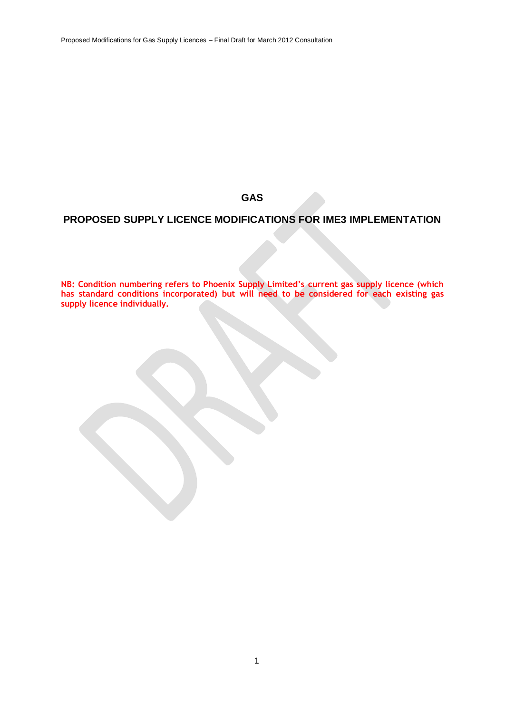Proposed Modifications for Gas Supply Licences – Final Draft for March 2012 Consultation

**GAS**

# **PROPOSED SUPPLY LICENCE MODIFICATIONS FOR IME3 IMPLEMENTATION**

**NB: Condition numbering refers to Phoenix Supply Limited's current gas supply licence (which has standard conditions incorporated) but will need to be considered for each existing gas supply licence individually.**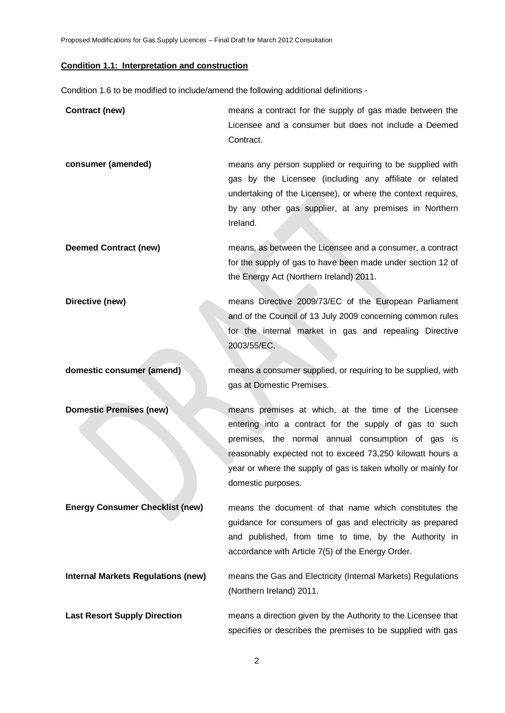Proposed Modifications for Gas Supply Licences – Final Draft for March 2012 Consultation

# **Condition 1.1: Interpretation and construction**

Condition 1.6 to be modified to include/amend the following additional definitions -

| Contract (new)                            | means a contract for the supply of gas made between the<br>Licensee and a consumer but does not include a Deemed<br>Contract.                                                                                                                                                                                           |
|-------------------------------------------|-------------------------------------------------------------------------------------------------------------------------------------------------------------------------------------------------------------------------------------------------------------------------------------------------------------------------|
| consumer (amended)                        | means any person supplied or requiring to be supplied with<br>gas by the Licensee (including any affiliate or related<br>undertaking of the Licensee), or where the context requires,<br>by any other gas supplier, at any premises in Northern<br>Ireland.                                                             |
| <b>Deemed Contract (new)</b>              | means, as between the Licensee and a consumer, a contract<br>for the supply of gas to have been made under section 12 of<br>the Energy Act (Northern Ireland) 2011.                                                                                                                                                     |
| Directive (new)                           | means Directive 2009/73/EC of the European Parliament<br>and of the Council of 13 July 2009 concerning common rules<br>for the internal market in gas and repealing Directive<br>2003/55/EC.                                                                                                                            |
| domestic consumer (amend)                 | means a consumer supplied, or requiring to be supplied, with<br>gas at Domestic Premises.                                                                                                                                                                                                                               |
| <b>Domestic Premises (new)</b>            | means premises at which, at the time of the Licensee<br>entering into a contract for the supply of gas to such<br>premises, the normal annual consumption of gas is<br>reasonably expected not to exceed 73,250 kilowatt hours a<br>year or where the supply of gas is taken wholly or mainly for<br>domestic purposes. |
| <b>Energy Consumer Checklist (new)</b>    | means the document of that name which constitutes the<br>guidance for consumers of gas and electricity as prepared<br>and published, from time to time, by the Authority in<br>accordance with Article 7(5) of the Energy Order.                                                                                        |
| <b>Internal Markets Regulations (new)</b> | means the Gas and Electricity (Internal Markets) Regulations<br>(Northern Ireland) 2011.                                                                                                                                                                                                                                |
| <b>Last Resort Supply Direction</b>       | means a direction given by the Authority to the Licensee that<br>specifies or describes the premises to be supplied with gas                                                                                                                                                                                            |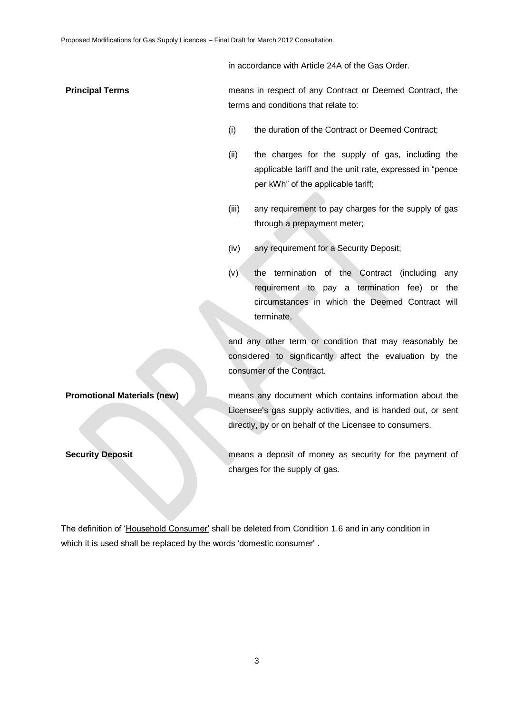in accordance with Article 24A of the Gas Order.

**Principal Terms** means in respect of any Contract or Deemed Contract, the terms and conditions that relate to:

- (i) the duration of the Contract or Deemed Contract;
- (ii) the charges for the supply of gas, including the applicable tariff and the unit rate, expressed in "pence per kWh" of the applicable tariff;
- (iii) any requirement to pay charges for the supply of gas through a prepayment meter;
- (iv) any requirement for a Security Deposit;
- (v) the termination of the Contract (including any requirement to pay a termination fee) or the circumstances in which the Deemed Contract will terminate,

and any other term or condition that may reasonably be considered to significantly affect the evaluation by the consumer of the Contract.

**Promotional Materials (new)** means any document which contains information about the Licensee's gas supply activities, and is handed out, or sent directly, by or on behalf of the Licensee to consumers.

**Security Deposit Security Deposit Mateurity Deposit means a deposit of money as security for the payment of** charges for the supply of gas.

The definition of 'Household Consumer' shall be deleted from Condition 1.6 and in any condition in which it is used shall be replaced by the words 'domestic consumer'.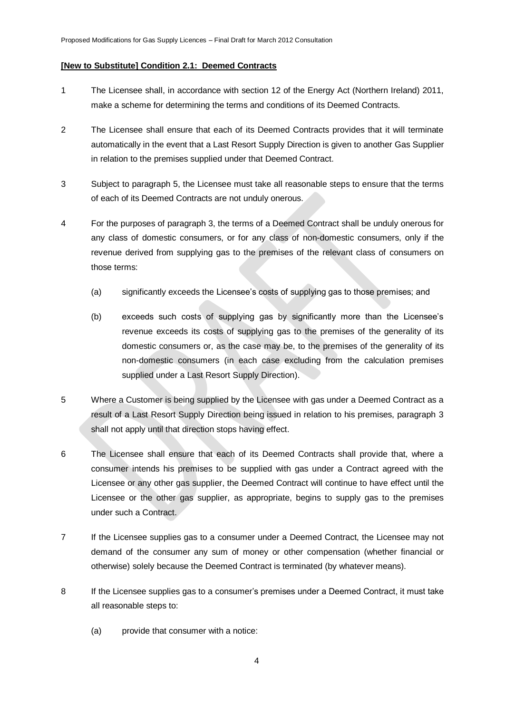### **[New to Substitute] Condition 2.1: Deemed Contracts**

- 1 The Licensee shall, in accordance with section 12 of the Energy Act (Northern Ireland) 2011, make a scheme for determining the terms and conditions of its Deemed Contracts.
- 2 The Licensee shall ensure that each of its Deemed Contracts provides that it will terminate automatically in the event that a Last Resort Supply Direction is given to another Gas Supplier in relation to the premises supplied under that Deemed Contract.
- 3 Subject to paragraph 5, the Licensee must take all reasonable steps to ensure that the terms of each of its Deemed Contracts are not unduly onerous.
- 4 For the purposes of paragraph 3, the terms of a Deemed Contract shall be unduly onerous for any class of domestic consumers, or for any class of non-domestic consumers, only if the revenue derived from supplying gas to the premises of the relevant class of consumers on those terms:
	- (a) significantly exceeds the Licensee"s costs of supplying gas to those premises; and
	- (b) exceeds such costs of supplying gas by significantly more than the Licensee"s revenue exceeds its costs of supplying gas to the premises of the generality of its domestic consumers or, as the case may be, to the premises of the generality of its non-domestic consumers (in each case excluding from the calculation premises supplied under a Last Resort Supply Direction).
- 5 Where a Customer is being supplied by the Licensee with gas under a Deemed Contract as a result of a Last Resort Supply Direction being issued in relation to his premises, paragraph 3 shall not apply until that direction stops having effect.
- 6 The Licensee shall ensure that each of its Deemed Contracts shall provide that, where a consumer intends his premises to be supplied with gas under a Contract agreed with the Licensee or any other gas supplier, the Deemed Contract will continue to have effect until the Licensee or the other gas supplier, as appropriate, begins to supply gas to the premises under such a Contract.
- 7 If the Licensee supplies gas to a consumer under a Deemed Contract, the Licensee may not demand of the consumer any sum of money or other compensation (whether financial or otherwise) solely because the Deemed Contract is terminated (by whatever means).
- 8 If the Licensee supplies gas to a consumer"s premises under a Deemed Contract, it must take all reasonable steps to:
	- (a) provide that consumer with a notice: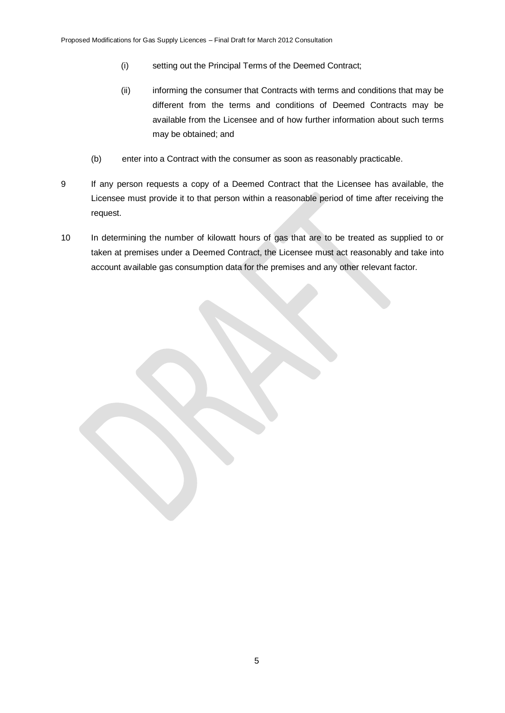- (i) setting out the Principal Terms of the Deemed Contract;
- (ii) informing the consumer that Contracts with terms and conditions that may be different from the terms and conditions of Deemed Contracts may be available from the Licensee and of how further information about such terms may be obtained; and
- (b) enter into a Contract with the consumer as soon as reasonably practicable.
- 9 If any person requests a copy of a Deemed Contract that the Licensee has available, the Licensee must provide it to that person within a reasonable period of time after receiving the request.
- 10 In determining the number of kilowatt hours of gas that are to be treated as supplied to or taken at premises under a Deemed Contract, the Licensee must act reasonably and take into account available gas consumption data for the premises and any other relevant factor.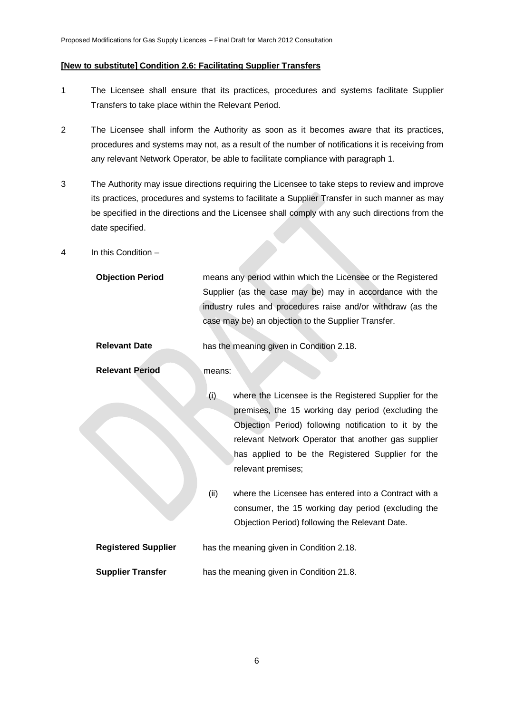#### **[New to substitute] Condition 2.6: Facilitating Supplier Transfers**

- 1 The Licensee shall ensure that its practices, procedures and systems facilitate Supplier Transfers to take place within the Relevant Period.
- 2 The Licensee shall inform the Authority as soon as it becomes aware that its practices, procedures and systems may not, as a result of the number of notifications it is receiving from any relevant Network Operator, be able to facilitate compliance with paragraph 1.
- 3 The Authority may issue directions requiring the Licensee to take steps to review and improve its practices, procedures and systems to facilitate a Supplier Transfer in such manner as may be specified in the directions and the Licensee shall comply with any such directions from the date specified.
- 4 In this Condition –

| means any period within which the Licensee or the Registered |
|--------------------------------------------------------------|
| Supplier (as the case may be) may in accordance with the     |
| industry rules and procedures raise and/or withdraw (as the  |
| case may be) an objection to the Supplier Transfer.          |
|                                                              |

**Relevant Date** has the meaning given in Condition 2.18.

**Relevant Period means:** 

- (i) where the Licensee is the Registered Supplier for the premises, the 15 working day period (excluding the Objection Period) following notification to it by the relevant Network Operator that another gas supplier has applied to be the Registered Supplier for the relevant premises;
- (ii) where the Licensee has entered into a Contract with a consumer, the 15 working day period (excluding the Objection Period) following the Relevant Date.

| <b>Registered Supplier</b> | has the meaning given in Condition 2.18. |
|----------------------------|------------------------------------------|
| <b>Supplier Transfer</b>   | has the meaning given in Condition 21.8. |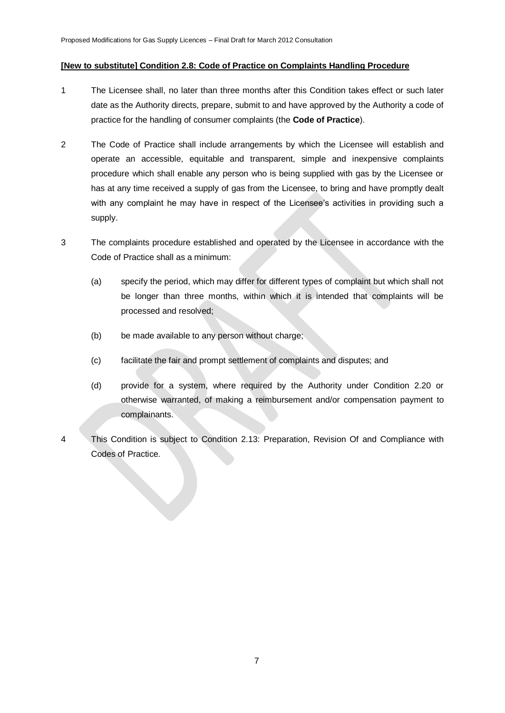#### **[New to substitute] Condition 2.8: Code of Practice on Complaints Handling Procedure**

- 1 The Licensee shall, no later than three months after this Condition takes effect or such later date as the Authority directs, prepare, submit to and have approved by the Authority a code of practice for the handling of consumer complaints (the **Code of Practice**).
- 2 The Code of Practice shall include arrangements by which the Licensee will establish and operate an accessible, equitable and transparent, simple and inexpensive complaints procedure which shall enable any person who is being supplied with gas by the Licensee or has at any time received a supply of gas from the Licensee, to bring and have promptly dealt with any complaint he may have in respect of the Licensee's activities in providing such a supply.
- 3 The complaints procedure established and operated by the Licensee in accordance with the Code of Practice shall as a minimum:
	- (a) specify the period, which may differ for different types of complaint but which shall not be longer than three months, within which it is intended that complaints will be processed and resolved;
	- (b) be made available to any person without charge;
	- (c) facilitate the fair and prompt settlement of complaints and disputes; and
	- (d) provide for a system, where required by the Authority under Condition 2.20 or otherwise warranted, of making a reimbursement and/or compensation payment to complainants.
- 4 This Condition is subject to Condition 2.13: Preparation, Revision Of and Compliance with Codes of Practice.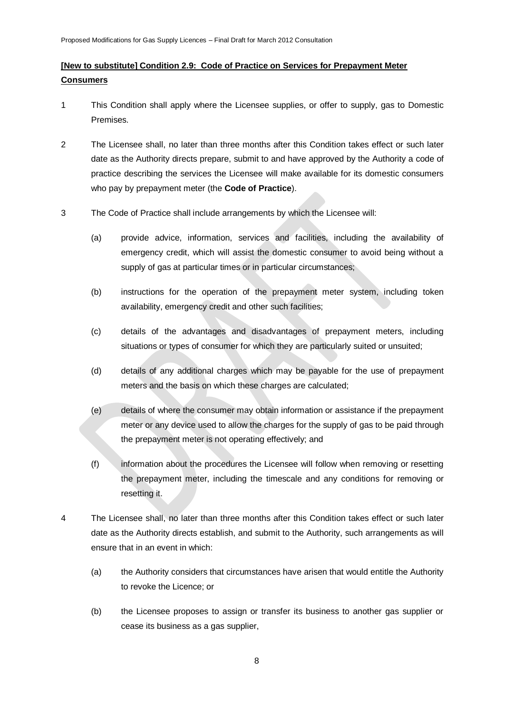## **[New to substitute] Condition 2.9: Code of Practice on Services for Prepayment Meter Consumers**

- 1 This Condition shall apply where the Licensee supplies, or offer to supply, gas to Domestic Premises.
- 2 The Licensee shall, no later than three months after this Condition takes effect or such later date as the Authority directs prepare, submit to and have approved by the Authority a code of practice describing the services the Licensee will make available for its domestic consumers who pay by prepayment meter (the **Code of Practice**).
- 3 The Code of Practice shall include arrangements by which the Licensee will:
	- (a) provide advice, information, services and facilities, including the availability of emergency credit, which will assist the domestic consumer to avoid being without a supply of gas at particular times or in particular circumstances;
	- (b) instructions for the operation of the prepayment meter system, including token availability, emergency credit and other such facilities;
	- (c) details of the advantages and disadvantages of prepayment meters, including situations or types of consumer for which they are particularly suited or unsuited;
	- (d) details of any additional charges which may be payable for the use of prepayment meters and the basis on which these charges are calculated;
	- (e) details of where the consumer may obtain information or assistance if the prepayment meter or any device used to allow the charges for the supply of gas to be paid through the prepayment meter is not operating effectively; and
	- (f) information about the procedures the Licensee will follow when removing or resetting the prepayment meter, including the timescale and any conditions for removing or resetting it.
- 4 The Licensee shall, no later than three months after this Condition takes effect or such later date as the Authority directs establish, and submit to the Authority, such arrangements as will ensure that in an event in which:
	- (a) the Authority considers that circumstances have arisen that would entitle the Authority to revoke the Licence; or
	- (b) the Licensee proposes to assign or transfer its business to another gas supplier or cease its business as a gas supplier,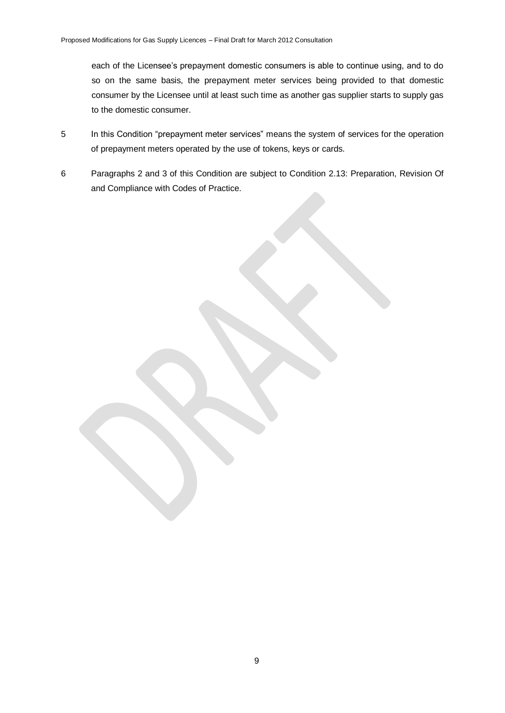each of the Licensee's prepayment domestic consumers is able to continue using, and to do so on the same basis, the prepayment meter services being provided to that domestic consumer by the Licensee until at least such time as another gas supplier starts to supply gas to the domestic consumer.

- 5 In this Condition "prepayment meter services" means the system of services for the operation of prepayment meters operated by the use of tokens, keys or cards.
- 6 Paragraphs 2 and 3 of this Condition are subject to Condition 2.13: Preparation, Revision Of and Compliance with Codes of Practice.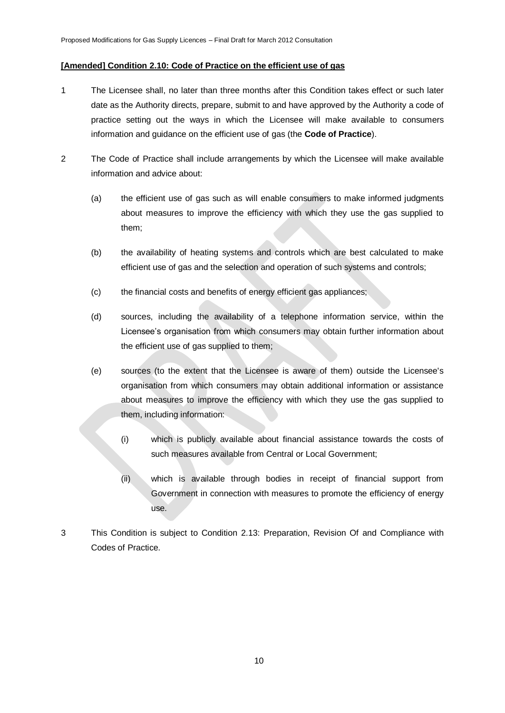#### **[Amended] Condition 2.10: Code of Practice on the efficient use of gas**

- 1 The Licensee shall, no later than three months after this Condition takes effect or such later date as the Authority directs, prepare, submit to and have approved by the Authority a code of practice setting out the ways in which the Licensee will make available to consumers information and guidance on the efficient use of gas (the **Code of Practice**).
- 2 The Code of Practice shall include arrangements by which the Licensee will make available information and advice about:
	- (a) the efficient use of gas such as will enable consumers to make informed judgments about measures to improve the efficiency with which they use the gas supplied to them;
	- (b) the availability of heating systems and controls which are best calculated to make efficient use of gas and the selection and operation of such systems and controls;
	- (c) the financial costs and benefits of energy efficient gas appliances;
	- (d) sources, including the availability of a telephone information service, within the Licensee"s organisation from which consumers may obtain further information about the efficient use of gas supplied to them;
	- (e) sources (to the extent that the Licensee is aware of them) outside the Licensee's organisation from which consumers may obtain additional information or assistance about measures to improve the efficiency with which they use the gas supplied to them, including information:
		- (i) which is publicly available about financial assistance towards the costs of such measures available from Central or Local Government;
		- (ii) which is available through bodies in receipt of financial support from Government in connection with measures to promote the efficiency of energy use.
- 3 This Condition is subject to Condition 2.13: Preparation, Revision Of and Compliance with Codes of Practice.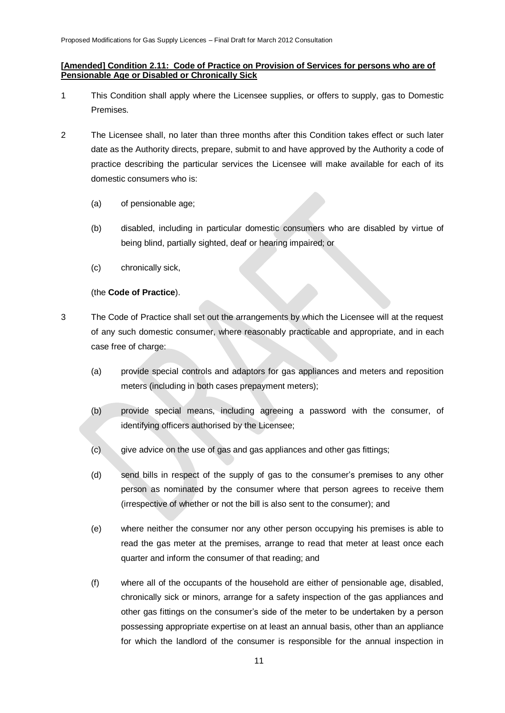### **[Amended] Condition 2.11: Code of Practice on Provision of Services for persons who are of Pensionable Age or Disabled or Chronically Sick**

- 1 This Condition shall apply where the Licensee supplies, or offers to supply, gas to Domestic Premises.
- 2 The Licensee shall, no later than three months after this Condition takes effect or such later date as the Authority directs, prepare, submit to and have approved by the Authority a code of practice describing the particular services the Licensee will make available for each of its domestic consumers who is:
	- (a) of pensionable age;
	- (b) disabled, including in particular domestic consumers who are disabled by virtue of being blind, partially sighted, deaf or hearing impaired; or
	- (c) chronically sick,

## (the **Code of Practice**).

- 3 The Code of Practice shall set out the arrangements by which the Licensee will at the request of any such domestic consumer, where reasonably practicable and appropriate, and in each case free of charge:
	- (a) provide special controls and adaptors for gas appliances and meters and reposition meters (including in both cases prepayment meters);
	- (b) provide special means, including agreeing a password with the consumer, of identifying officers authorised by the Licensee;
	- (c) give advice on the use of gas and gas appliances and other gas fittings;
	- (d) send bills in respect of the supply of gas to the consumer"s premises to any other person as nominated by the consumer where that person agrees to receive them (irrespective of whether or not the bill is also sent to the consumer); and
	- (e) where neither the consumer nor any other person occupying his premises is able to read the gas meter at the premises, arrange to read that meter at least once each quarter and inform the consumer of that reading; and
	- (f) where all of the occupants of the household are either of pensionable age, disabled, chronically sick or minors, arrange for a safety inspection of the gas appliances and other gas fittings on the consumer"s side of the meter to be undertaken by a person possessing appropriate expertise on at least an annual basis, other than an appliance for which the landlord of the consumer is responsible for the annual inspection in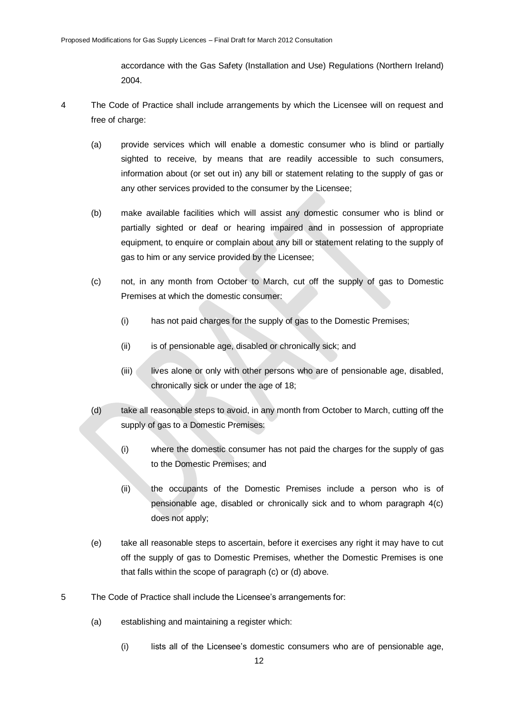accordance with the Gas Safety (Installation and Use) Regulations (Northern Ireland) 2004.

- 4 The Code of Practice shall include arrangements by which the Licensee will on request and free of charge:
	- (a) provide services which will enable a domestic consumer who is blind or partially sighted to receive, by means that are readily accessible to such consumers, information about (or set out in) any bill or statement relating to the supply of gas or any other services provided to the consumer by the Licensee;
	- (b) make available facilities which will assist any domestic consumer who is blind or partially sighted or deaf or hearing impaired and in possession of appropriate equipment, to enquire or complain about any bill or statement relating to the supply of gas to him or any service provided by the Licensee;
	- (c) not, in any month from October to March, cut off the supply of gas to Domestic Premises at which the domestic consumer:
		- (i) has not paid charges for the supply of gas to the Domestic Premises;
		- (ii) is of pensionable age, disabled or chronically sick; and
		- (iii) lives alone or only with other persons who are of pensionable age, disabled, chronically sick or under the age of 18;
	- (d) take all reasonable steps to avoid, in any month from October to March, cutting off the supply of gas to a Domestic Premises:
		- (i) where the domestic consumer has not paid the charges for the supply of gas to the Domestic Premises; and
		- (ii) the occupants of the Domestic Premises include a person who is of pensionable age, disabled or chronically sick and to whom paragraph 4(c) does not apply;
	- (e) take all reasonable steps to ascertain, before it exercises any right it may have to cut off the supply of gas to Domestic Premises, whether the Domestic Premises is one that falls within the scope of paragraph (c) or (d) above.
- 5 The Code of Practice shall include the Licensee"s arrangements for:
	- (a) establishing and maintaining a register which:
		- (i) lists all of the Licensee"s domestic consumers who are of pensionable age,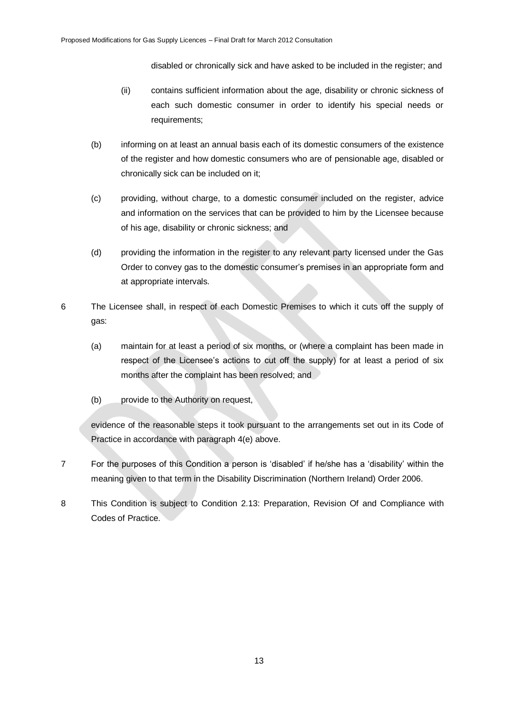disabled or chronically sick and have asked to be included in the register; and

- (ii) contains sufficient information about the age, disability or chronic sickness of each such domestic consumer in order to identify his special needs or requirements;
- (b) informing on at least an annual basis each of its domestic consumers of the existence of the register and how domestic consumers who are of pensionable age, disabled or chronically sick can be included on it;
- (c) providing, without charge, to a domestic consumer included on the register, advice and information on the services that can be provided to him by the Licensee because of his age, disability or chronic sickness; and
- (d) providing the information in the register to any relevant party licensed under the Gas Order to convey gas to the domestic consumer"s premises in an appropriate form and at appropriate intervals.
- 6 The Licensee shall, in respect of each Domestic Premises to which it cuts off the supply of gas:
	- (a) maintain for at least a period of six months, or (where a complaint has been made in respect of the Licensee"s actions to cut off the supply) for at least a period of six months after the complaint has been resolved; and
	- (b) provide to the Authority on request,

evidence of the reasonable steps it took pursuant to the arrangements set out in its Code of Practice in accordance with paragraph 4(e) above.

- 7 For the purposes of this Condition a person is "disabled" if he/she has a "disability" within the meaning given to that term in the Disability Discrimination (Northern Ireland) Order 2006.
- 8 This Condition is subject to Condition 2.13: Preparation, Revision Of and Compliance with Codes of Practice.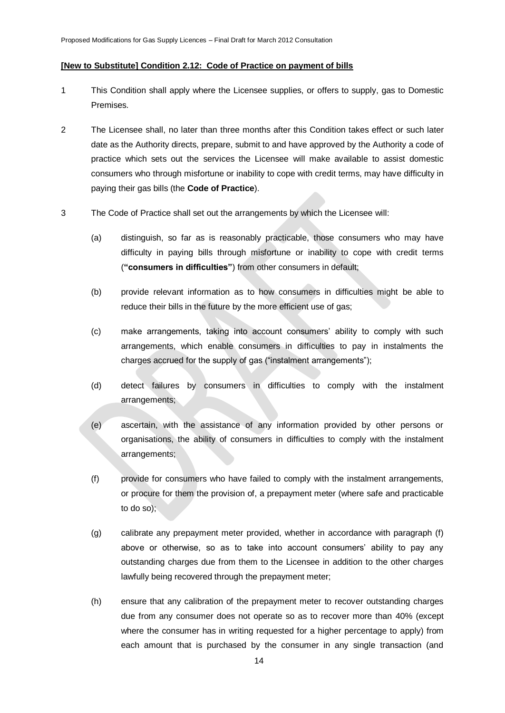#### **[New to Substitute] Condition 2.12: Code of Practice on payment of bills**

- 1 This Condition shall apply where the Licensee supplies, or offers to supply, gas to Domestic Premises.
- 2 The Licensee shall, no later than three months after this Condition takes effect or such later date as the Authority directs, prepare, submit to and have approved by the Authority a code of practice which sets out the services the Licensee will make available to assist domestic consumers who through misfortune or inability to cope with credit terms, may have difficulty in paying their gas bills (the **Code of Practice**).
- 3 The Code of Practice shall set out the arrangements by which the Licensee will:
	- (a) distinguish, so far as is reasonably practicable, those consumers who may have difficulty in paying bills through misfortune or inability to cope with credit terms (**"consumers in difficulties"**) from other consumers in default;
	- (b) provide relevant information as to how consumers in difficulties might be able to reduce their bills in the future by the more efficient use of gas;
	- (c) make arrangements, taking into account consumers" ability to comply with such arrangements, which enable consumers in difficulties to pay in instalments the charges accrued for the supply of gas ("instalment arrangements");
	- (d) detect failures by consumers in difficulties to comply with the instalment arrangements;
	- (e) ascertain, with the assistance of any information provided by other persons or organisations, the ability of consumers in difficulties to comply with the instalment arrangements;
	- (f) provide for consumers who have failed to comply with the instalment arrangements, or procure for them the provision of, a prepayment meter (where safe and practicable to do so);
	- (g) calibrate any prepayment meter provided, whether in accordance with paragraph (f) above or otherwise, so as to take into account consumers' ability to pay any outstanding charges due from them to the Licensee in addition to the other charges lawfully being recovered through the prepayment meter;
	- (h) ensure that any calibration of the prepayment meter to recover outstanding charges due from any consumer does not operate so as to recover more than 40% (except where the consumer has in writing requested for a higher percentage to apply) from each amount that is purchased by the consumer in any single transaction (and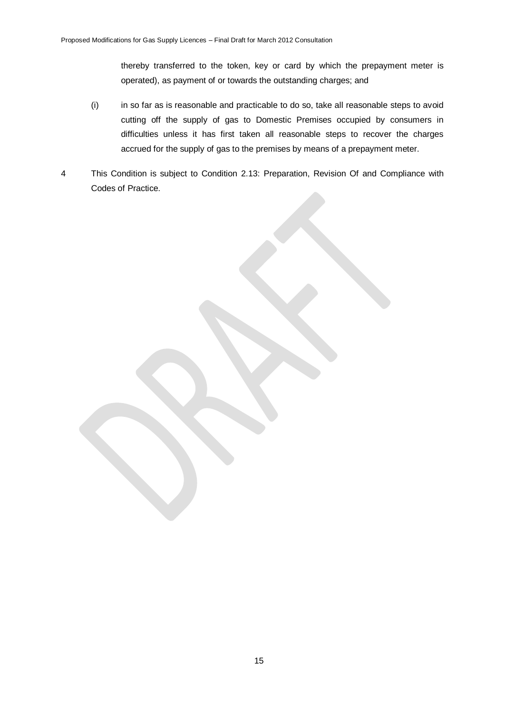thereby transferred to the token, key or card by which the prepayment meter is operated), as payment of or towards the outstanding charges; and

- (i) in so far as is reasonable and practicable to do so, take all reasonable steps to avoid cutting off the supply of gas to Domestic Premises occupied by consumers in difficulties unless it has first taken all reasonable steps to recover the charges accrued for the supply of gas to the premises by means of a prepayment meter.
- 4 This Condition is subject to Condition 2.13: Preparation, Revision Of and Compliance with Codes of Practice.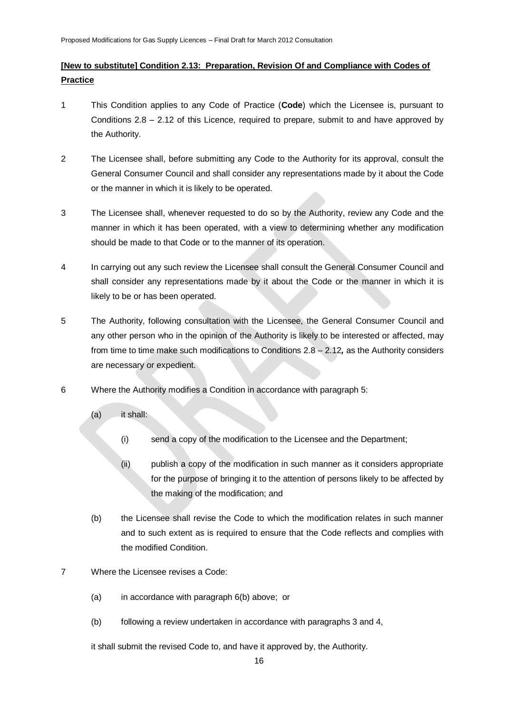# **[New to substitute] Condition 2.13: Preparation, Revision Of and Compliance with Codes of Practice**

- 1 This Condition applies to any Code of Practice (**Code**) which the Licensee is, pursuant to Conditions 2.8 – 2.12 of this Licence, required to prepare, submit to and have approved by the Authority.
- 2 The Licensee shall, before submitting any Code to the Authority for its approval, consult the General Consumer Council and shall consider any representations made by it about the Code or the manner in which it is likely to be operated.
- 3 The Licensee shall, whenever requested to do so by the Authority, review any Code and the manner in which it has been operated, with a view to determining whether any modification should be made to that Code or to the manner of its operation.
- 4 In carrying out any such review the Licensee shall consult the General Consumer Council and shall consider any representations made by it about the Code or the manner in which it is likely to be or has been operated.
- 5 The Authority, following consultation with the Licensee, the General Consumer Council and any other person who in the opinion of the Authority is likely to be interested or affected, may from time to time make such modifications to Conditions 2.8 – 2.12*,* as the Authority considers are necessary or expedient.
- 6 Where the Authority modifies a Condition in accordance with paragraph 5:
	- (a) it shall:
		- (i) send a copy of the modification to the Licensee and the Department;
		- (ii) publish a copy of the modification in such manner as it considers appropriate for the purpose of bringing it to the attention of persons likely to be affected by the making of the modification; and
	- (b) the Licensee shall revise the Code to which the modification relates in such manner and to such extent as is required to ensure that the Code reflects and complies with the modified Condition.
- 7 Where the Licensee revises a Code:
	- (a) in accordance with paragraph 6(b) above; or
	- (b) following a review undertaken in accordance with paragraphs 3 and 4,

it shall submit the revised Code to, and have it approved by, the Authority.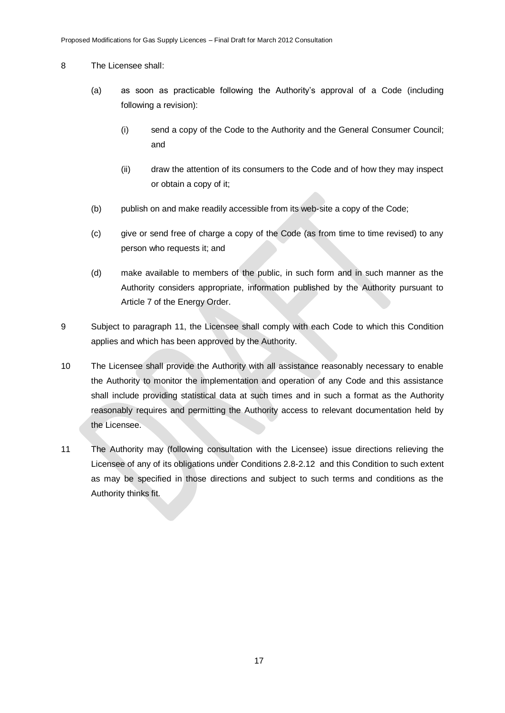#### 8 The Licensee shall:

- (a) as soon as practicable following the Authority"s approval of a Code (including following a revision):
	- (i) send a copy of the Code to the Authority and the General Consumer Council; and
	- (ii) draw the attention of its consumers to the Code and of how they may inspect or obtain a copy of it;
- (b) publish on and make readily accessible from its web-site a copy of the Code;
- (c) give or send free of charge a copy of the Code (as from time to time revised) to any person who requests it; and
- (d) make available to members of the public, in such form and in such manner as the Authority considers appropriate, information published by the Authority pursuant to Article 7 of the Energy Order.
- 9 Subject to paragraph 11, the Licensee shall comply with each Code to which this Condition applies and which has been approved by the Authority.
- 10 The Licensee shall provide the Authority with all assistance reasonably necessary to enable the Authority to monitor the implementation and operation of any Code and this assistance shall include providing statistical data at such times and in such a format as the Authority reasonably requires and permitting the Authority access to relevant documentation held by the Licensee.
- 11 The Authority may (following consultation with the Licensee) issue directions relieving the Licensee of any of its obligations under Conditions 2.8-2.12 and this Condition to such extent as may be specified in those directions and subject to such terms and conditions as the Authority thinks fit.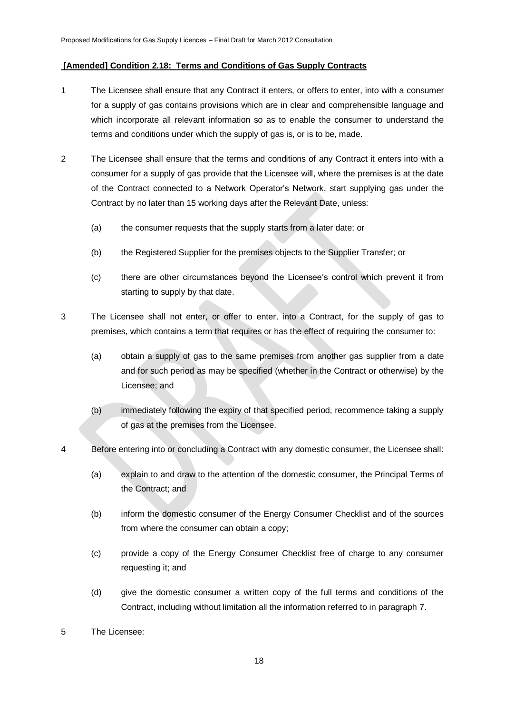### **[Amended] Condition 2.18: Terms and Conditions of Gas Supply Contracts**

- 1 The Licensee shall ensure that any Contract it enters, or offers to enter, into with a consumer for a supply of gas contains provisions which are in clear and comprehensible language and which incorporate all relevant information so as to enable the consumer to understand the terms and conditions under which the supply of gas is, or is to be, made.
- 2 The Licensee shall ensure that the terms and conditions of any Contract it enters into with a consumer for a supply of gas provide that the Licensee will, where the premises is at the date of the Contract connected to a Network Operator"s Network, start supplying gas under the Contract by no later than 15 working days after the Relevant Date, unless:
	- (a) the consumer requests that the supply starts from a later date; or
	- (b) the Registered Supplier for the premises objects to the Supplier Transfer; or
	- (c) there are other circumstances beyond the Licensee"s control which prevent it from starting to supply by that date.
- 3 The Licensee shall not enter, or offer to enter, into a Contract, for the supply of gas to premises, which contains a term that requires or has the effect of requiring the consumer to:
	- (a) obtain a supply of gas to the same premises from another gas supplier from a date and for such period as may be specified (whether in the Contract or otherwise) by the Licensee; and
	- (b) immediately following the expiry of that specified period, recommence taking a supply of gas at the premises from the Licensee.
- 4 Before entering into or concluding a Contract with any domestic consumer, the Licensee shall:
	- (a) explain to and draw to the attention of the domestic consumer, the Principal Terms of the Contract; and
	- (b) inform the domestic consumer of the Energy Consumer Checklist and of the sources from where the consumer can obtain a copy;
	- (c) provide a copy of the Energy Consumer Checklist free of charge to any consumer requesting it; and
	- (d) give the domestic consumer a written copy of the full terms and conditions of the Contract, including without limitation all the information referred to in paragraph 7.
- 5 The Licensee: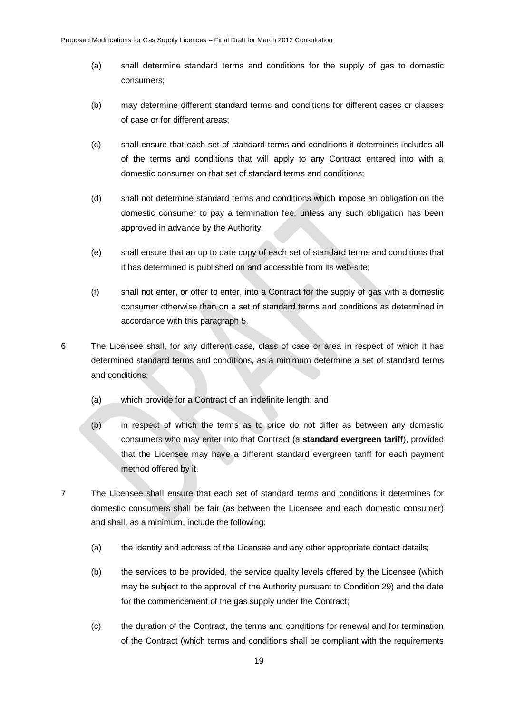- (a) shall determine standard terms and conditions for the supply of gas to domestic consumers;
- (b) may determine different standard terms and conditions for different cases or classes of case or for different areas;
- (c) shall ensure that each set of standard terms and conditions it determines includes all of the terms and conditions that will apply to any Contract entered into with a domestic consumer on that set of standard terms and conditions;
- (d) shall not determine standard terms and conditions which impose an obligation on the domestic consumer to pay a termination fee, unless any such obligation has been approved in advance by the Authority;
- (e) shall ensure that an up to date copy of each set of standard terms and conditions that it has determined is published on and accessible from its web-site;
- (f) shall not enter, or offer to enter, into a Contract for the supply of gas with a domestic consumer otherwise than on a set of standard terms and conditions as determined in accordance with this paragraph 5.
- 6 The Licensee shall, for any different case, class of case or area in respect of which it has determined standard terms and conditions, as a minimum determine a set of standard terms and conditions:
	- (a) which provide for a Contract of an indefinite length; and
	- (b) in respect of which the terms as to price do not differ as between any domestic consumers who may enter into that Contract (a **standard evergreen tariff**), provided that the Licensee may have a different standard evergreen tariff for each payment method offered by it.
- 7 The Licensee shall ensure that each set of standard terms and conditions it determines for domestic consumers shall be fair (as between the Licensee and each domestic consumer) and shall, as a minimum, include the following:
	- (a) the identity and address of the Licensee and any other appropriate contact details;
	- (b) the services to be provided, the service quality levels offered by the Licensee (which may be subject to the approval of the Authority pursuant to Condition 29) and the date for the commencement of the gas supply under the Contract;
	- (c) the duration of the Contract, the terms and conditions for renewal and for termination of the Contract (which terms and conditions shall be compliant with the requirements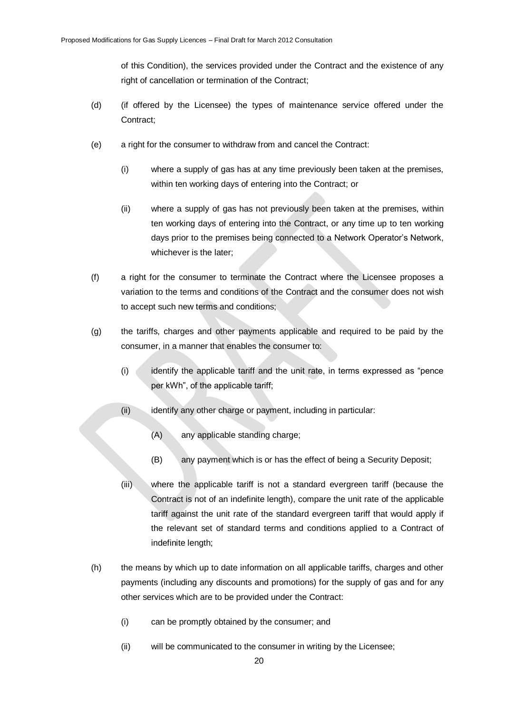of this Condition), the services provided under the Contract and the existence of any right of cancellation or termination of the Contract;

- (d) (if offered by the Licensee) the types of maintenance service offered under the Contract;
- (e) a right for the consumer to withdraw from and cancel the Contract:
	- (i) where a supply of gas has at any time previously been taken at the premises, within ten working days of entering into the Contract; or
	- (ii) where a supply of gas has not previously been taken at the premises, within ten working days of entering into the Contract, or any time up to ten working days prior to the premises being connected to a Network Operator's Network, whichever is the later;
- (f) a right for the consumer to terminate the Contract where the Licensee proposes a variation to the terms and conditions of the Contract and the consumer does not wish to accept such new terms and conditions;
- (g) the tariffs, charges and other payments applicable and required to be paid by the consumer, in a manner that enables the consumer to:
	- (i) identify the applicable tariff and the unit rate, in terms expressed as "pence per kWh", of the applicable tariff;
	- (ii) identify any other charge or payment, including in particular:
		- (A) any applicable standing charge;
		- (B) any payment which is or has the effect of being a Security Deposit;
	- (iii) where the applicable tariff is not a standard evergreen tariff (because the Contract is not of an indefinite length), compare the unit rate of the applicable tariff against the unit rate of the standard evergreen tariff that would apply if the relevant set of standard terms and conditions applied to a Contract of indefinite length;
- (h) the means by which up to date information on all applicable tariffs, charges and other payments (including any discounts and promotions) for the supply of gas and for any other services which are to be provided under the Contract:
	- (i) can be promptly obtained by the consumer; and
	- (ii) will be communicated to the consumer in writing by the Licensee;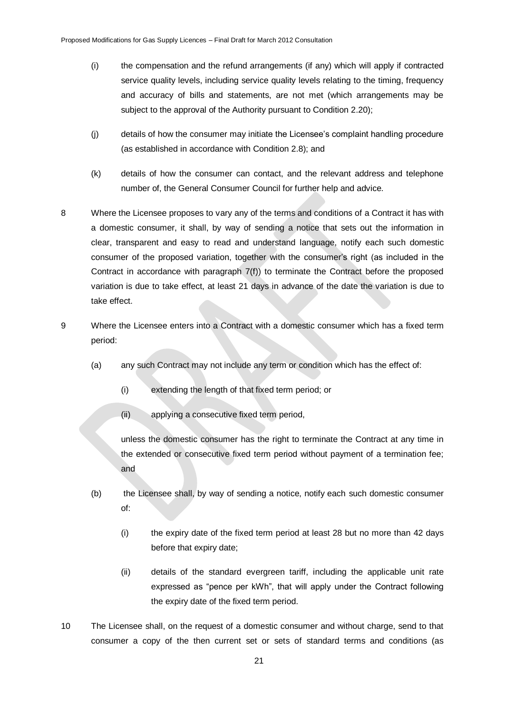- (i) the compensation and the refund arrangements (if any) which will apply if contracted service quality levels, including service quality levels relating to the timing, frequency and accuracy of bills and statements, are not met (which arrangements may be subject to the approval of the Authority pursuant to Condition 2.20):
- (j) details of how the consumer may initiate the Licensee"s complaint handling procedure (as established in accordance with Condition 2.8); and
- (k) details of how the consumer can contact, and the relevant address and telephone number of, the General Consumer Council for further help and advice.
- 8 Where the Licensee proposes to vary any of the terms and conditions of a Contract it has with a domestic consumer, it shall, by way of sending a notice that sets out the information in clear, transparent and easy to read and understand language, notify each such domestic consumer of the proposed variation, together with the consumer"s right (as included in the Contract in accordance with paragraph 7(f)) to terminate the Contract before the proposed variation is due to take effect, at least 21 days in advance of the date the variation is due to take effect.
- 9 Where the Licensee enters into a Contract with a domestic consumer which has a fixed term period:
	- (a) any such Contract may not include any term or condition which has the effect of:
		- (i) extending the length of that fixed term period; or
		- (ii) applying a consecutive fixed term period,

unless the domestic consumer has the right to terminate the Contract at any time in the extended or consecutive fixed term period without payment of a termination fee; and

- (b) the Licensee shall, by way of sending a notice, notify each such domestic consumer of:
	- (i) the expiry date of the fixed term period at least 28 but no more than 42 days before that expiry date;
	- (ii) details of the standard evergreen tariff, including the applicable unit rate expressed as "pence per kWh", that will apply under the Contract following the expiry date of the fixed term period.
- 10 The Licensee shall, on the request of a domestic consumer and without charge, send to that consumer a copy of the then current set or sets of standard terms and conditions (as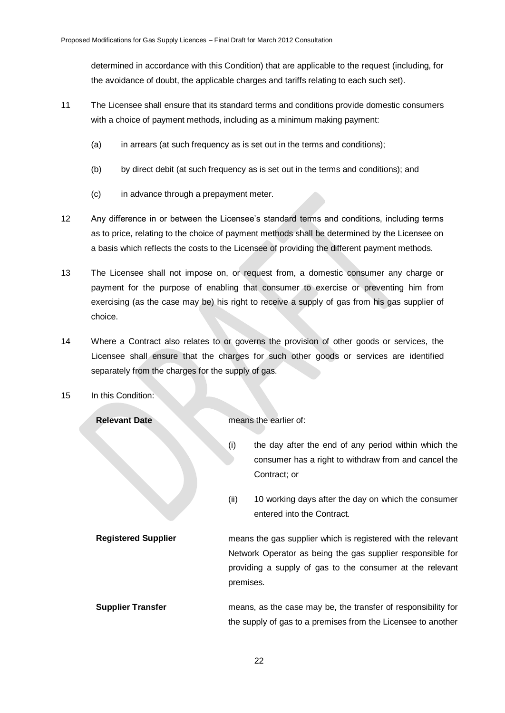determined in accordance with this Condition) that are applicable to the request (including, for the avoidance of doubt, the applicable charges and tariffs relating to each such set).

- 11 The Licensee shall ensure that its standard terms and conditions provide domestic consumers with a choice of payment methods, including as a minimum making payment:
	- (a) in arrears (at such frequency as is set out in the terms and conditions);
	- (b) by direct debit (at such frequency as is set out in the terms and conditions); and
	- (c) in advance through a prepayment meter.
- 12 Any difference in or between the Licensee"s standard terms and conditions, including terms as to price, relating to the choice of payment methods shall be determined by the Licensee on a basis which reflects the costs to the Licensee of providing the different payment methods.
- 13 The Licensee shall not impose on, or request from, a domestic consumer any charge or payment for the purpose of enabling that consumer to exercise or preventing him from exercising (as the case may be) his right to receive a supply of gas from his gas supplier of choice.
- 14 Where a Contract also relates to or governs the provision of other goods or services, the Licensee shall ensure that the charges for such other goods or services are identified separately from the charges for the supply of gas.
- 15 In this Condition:

**Relevant Date nearlier of:** *nearlier of: nearlier of:* 

- (i) the day after the end of any period within which the consumer has a right to withdraw from and cancel the Contract; or
- (ii) 10 working days after the day on which the consumer entered into the Contract.
- **Registered Supplier** means the gas supplier which is registered with the relevant Network Operator as being the gas supplier responsible for providing a supply of gas to the consumer at the relevant premises.
- **Supplier Transfer** means, as the case may be, the transfer of responsibility for the supply of gas to a premises from the Licensee to another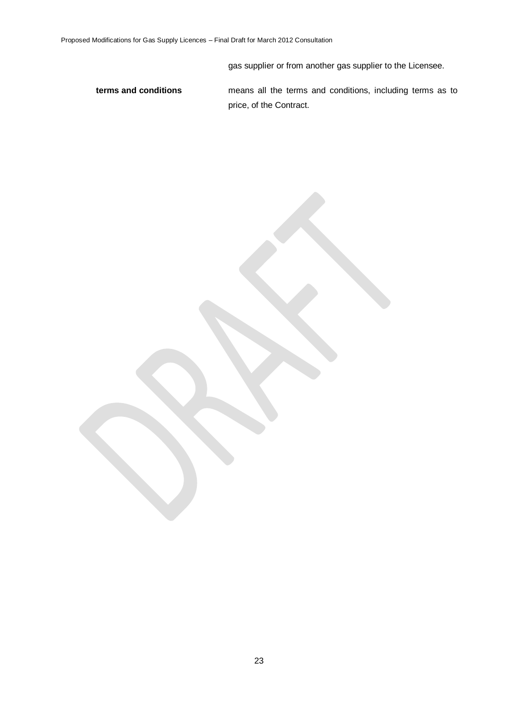gas supplier or from another gas supplier to the Licensee.

**terms and conditions** means all the terms and conditions, including terms as to price, of the Contract.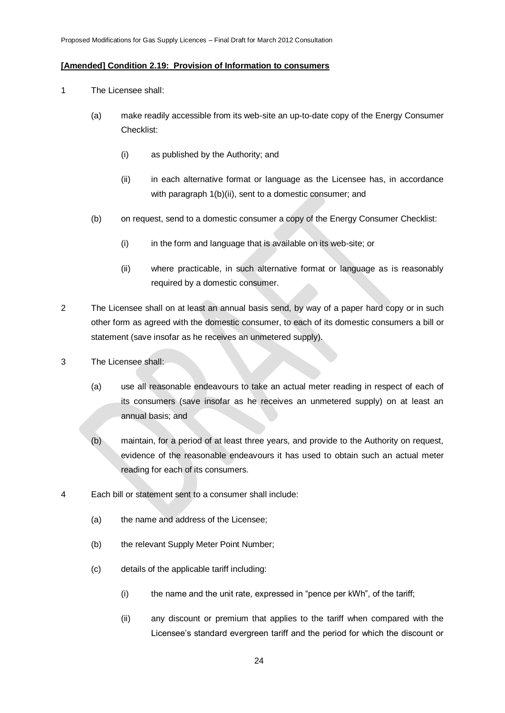#### **[Amended] Condition 2.19: Provision of Information to consumers**

- 1 The Licensee shall:
	- (a) make readily accessible from its web-site an up-to-date copy of the Energy Consumer Checklist:
		- (i) as published by the Authority; and
		- (ii) in each alternative format or language as the Licensee has, in accordance with paragraph 1(b)(ii), sent to a domestic consumer; and
	- (b) on request, send to a domestic consumer a copy of the Energy Consumer Checklist:
		- (i) in the form and language that is available on its web-site; or
		- (ii) where practicable, in such alternative format or language as is reasonably required by a domestic consumer.
- 2 The Licensee shall on at least an annual basis send, by way of a paper hard copy or in such other form as agreed with the domestic consumer, to each of its domestic consumers a bill or statement (save insofar as he receives an unmetered supply).
- 3 The Licensee shall:
	- (a) use all reasonable endeavours to take an actual meter reading in respect of each of its consumers (save insofar as he receives an unmetered supply) on at least an annual basis; and
	- (b) maintain, for a period of at least three years, and provide to the Authority on request, evidence of the reasonable endeavours it has used to obtain such an actual meter reading for each of its consumers.
- 4 Each bill or statement sent to a consumer shall include:
	- (a) the name and address of the Licensee;
	- (b) the relevant Supply Meter Point Number;
	- (c) details of the applicable tariff including:
		- (i) the name and the unit rate, expressed in "pence per kWh", of the tariff;
		- (ii) any discount or premium that applies to the tariff when compared with the Licensee"s standard evergreen tariff and the period for which the discount or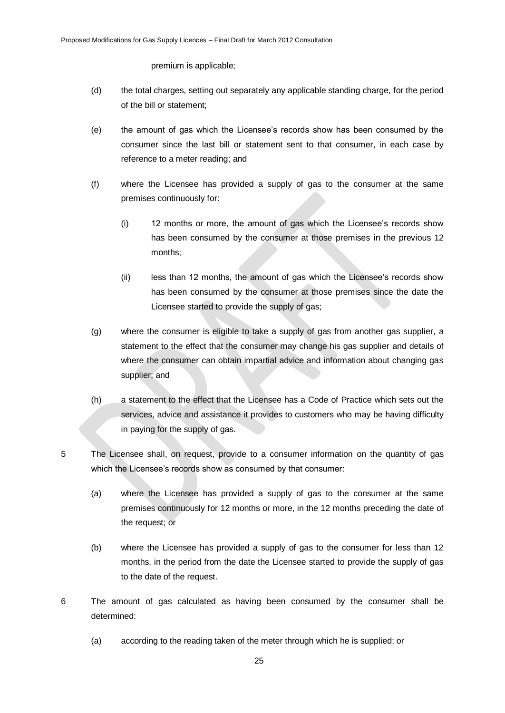premium is applicable;

- (d) the total charges, setting out separately any applicable standing charge, for the period of the bill or statement;
- (e) the amount of gas which the Licensee"s records show has been consumed by the consumer since the last bill or statement sent to that consumer, in each case by reference to a meter reading; and
- (f) where the Licensee has provided a supply of gas to the consumer at the same premises continuously for:
	- (i) 12 months or more, the amount of gas which the Licensee"s records show has been consumed by the consumer at those premises in the previous 12 months;
	- (ii) less than 12 months, the amount of gas which the Licensee"s records show has been consumed by the consumer at those premises since the date the Licensee started to provide the supply of gas;
- (g) where the consumer is eligible to take a supply of gas from another gas supplier, a statement to the effect that the consumer may change his gas supplier and details of where the consumer can obtain impartial advice and information about changing gas supplier; and
- (h) a statement to the effect that the Licensee has a Code of Practice which sets out the services, advice and assistance it provides to customers who may be having difficulty in paying for the supply of gas.
- 5 The Licensee shall, on request, provide to a consumer information on the quantity of gas which the Licensee's records show as consumed by that consumer:
	- (a) where the Licensee has provided a supply of gas to the consumer at the same premises continuously for 12 months or more, in the 12 months preceding the date of the request; or
	- (b) where the Licensee has provided a supply of gas to the consumer for less than 12 months, in the period from the date the Licensee started to provide the supply of gas to the date of the request.
- 6 The amount of gas calculated as having been consumed by the consumer shall be determined:
	- (a) according to the reading taken of the meter through which he is supplied; or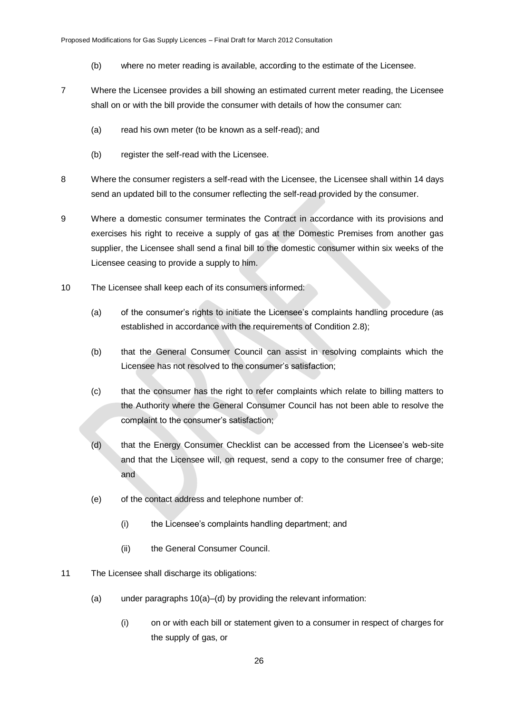- (b) where no meter reading is available, according to the estimate of the Licensee.
- 7 Where the Licensee provides a bill showing an estimated current meter reading, the Licensee shall on or with the bill provide the consumer with details of how the consumer can:
	- (a) read his own meter (to be known as a self-read); and
	- (b) register the self-read with the Licensee.
- 8 Where the consumer registers a self-read with the Licensee, the Licensee shall within 14 days send an updated bill to the consumer reflecting the self-read provided by the consumer.
- 9 Where a domestic consumer terminates the Contract in accordance with its provisions and exercises his right to receive a supply of gas at the Domestic Premises from another gas supplier, the Licensee shall send a final bill to the domestic consumer within six weeks of the Licensee ceasing to provide a supply to him.
- 10 The Licensee shall keep each of its consumers informed:
	- (a) of the consumer"s rights to initiate the Licensee"s complaints handling procedure (as established in accordance with the requirements of Condition 2.8);
	- (b) that the General Consumer Council can assist in resolving complaints which the Licensee has not resolved to the consumer"s satisfaction;
	- (c) that the consumer has the right to refer complaints which relate to billing matters to the Authority where the General Consumer Council has not been able to resolve the complaint to the consumer"s satisfaction;
	- (d) that the Energy Consumer Checklist can be accessed from the Licensee"s web-site and that the Licensee will, on request, send a copy to the consumer free of charge; and
	- (e) of the contact address and telephone number of:
		- (i) the Licensee"s complaints handling department; and
		- (ii) the General Consumer Council.
- 11 The Licensee shall discharge its obligations:
	- (a) under paragraphs 10(a)–(d) by providing the relevant information:
		- (i) on or with each bill or statement given to a consumer in respect of charges for the supply of gas, or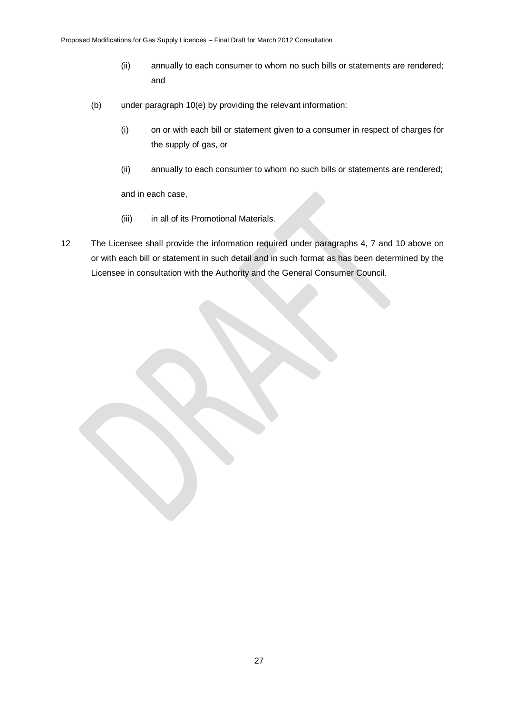- (ii) annually to each consumer to whom no such bills or statements are rendered; and
- (b) under paragraph 10(e) by providing the relevant information:
	- (i) on or with each bill or statement given to a consumer in respect of charges for the supply of gas, or
	- (ii) annually to each consumer to whom no such bills or statements are rendered;

and in each case,

- (iii) in all of its Promotional Materials.
- 12 The Licensee shall provide the information required under paragraphs 4, 7 and 10 above on or with each bill or statement in such detail and in such format as has been determined by the Licensee in consultation with the Authority and the General Consumer Council.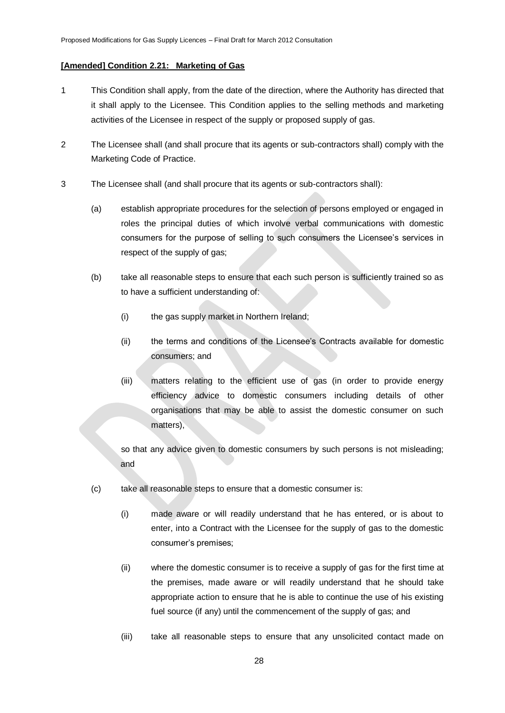## **[Amended] Condition 2.21: Marketing of Gas**

- 1 This Condition shall apply, from the date of the direction, where the Authority has directed that it shall apply to the Licensee. This Condition applies to the selling methods and marketing activities of the Licensee in respect of the supply or proposed supply of gas.
- 2 The Licensee shall (and shall procure that its agents or sub-contractors shall) comply with the Marketing Code of Practice.
- 3 The Licensee shall (and shall procure that its agents or sub-contractors shall):
	- (a) establish appropriate procedures for the selection of persons employed or engaged in roles the principal duties of which involve verbal communications with domestic consumers for the purpose of selling to such consumers the Licensee's services in respect of the supply of gas;
	- (b) take all reasonable steps to ensure that each such person is sufficiently trained so as to have a sufficient understanding of:
		- (i) the gas supply market in Northern Ireland;
		- (ii) the terms and conditions of the Licensee"s Contracts available for domestic consumers; and
		- (iii) matters relating to the efficient use of gas (in order to provide energy efficiency advice to domestic consumers including details of other organisations that may be able to assist the domestic consumer on such matters),

so that any advice given to domestic consumers by such persons is not misleading; and

- (c) take all reasonable steps to ensure that a domestic consumer is:
	- (i) made aware or will readily understand that he has entered, or is about to enter, into a Contract with the Licensee for the supply of gas to the domestic consumer"s premises;
	- (ii) where the domestic consumer is to receive a supply of gas for the first time at the premises, made aware or will readily understand that he should take appropriate action to ensure that he is able to continue the use of his existing fuel source (if any) until the commencement of the supply of gas; and
	- (iii) take all reasonable steps to ensure that any unsolicited contact made on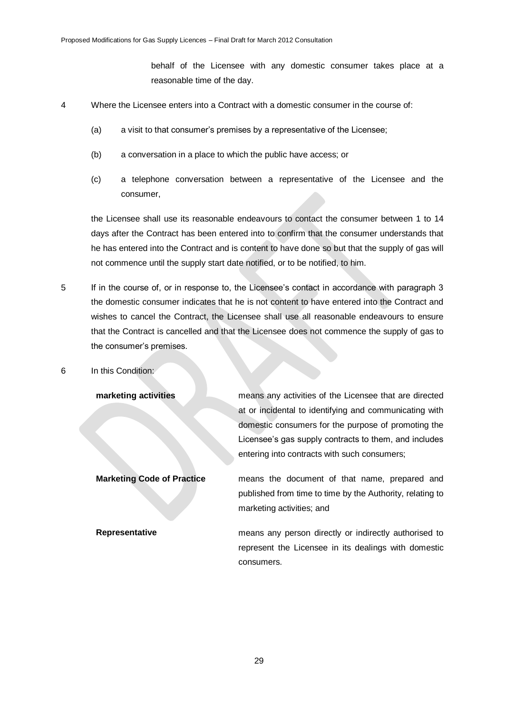behalf of the Licensee with any domestic consumer takes place at a reasonable time of the day.

- 4 Where the Licensee enters into a Contract with a domestic consumer in the course of:
	- (a) a visit to that consumer"s premises by a representative of the Licensee;
	- (b) a conversation in a place to which the public have access; or
	- (c) a telephone conversation between a representative of the Licensee and the consumer,

the Licensee shall use its reasonable endeavours to contact the consumer between 1 to 14 days after the Contract has been entered into to confirm that the consumer understands that he has entered into the Contract and is content to have done so but that the supply of gas will not commence until the supply start date notified, or to be notified, to him.

- 5 If in the course of, or in response to, the Licensee"s contact in accordance with paragraph 3 the domestic consumer indicates that he is not content to have entered into the Contract and wishes to cancel the Contract, the Licensee shall use all reasonable endeavours to ensure that the Contract is cancelled and that the Licensee does not commence the supply of gas to the consumer's premises.
- 6 In this Condition:

**marketing activities** means any activities of the Licensee that are directed at or incidental to identifying and communicating with domestic consumers for the purpose of promoting the Licensee's gas supply contracts to them, and includes entering into contracts with such consumers;

**Marketing Code of Practice** means the document of that name, prepared and published from time to time by the Authority, relating to marketing activities; and

**Representative neans** any person directly or indirectly authorised to represent the Licensee in its dealings with domestic consumers.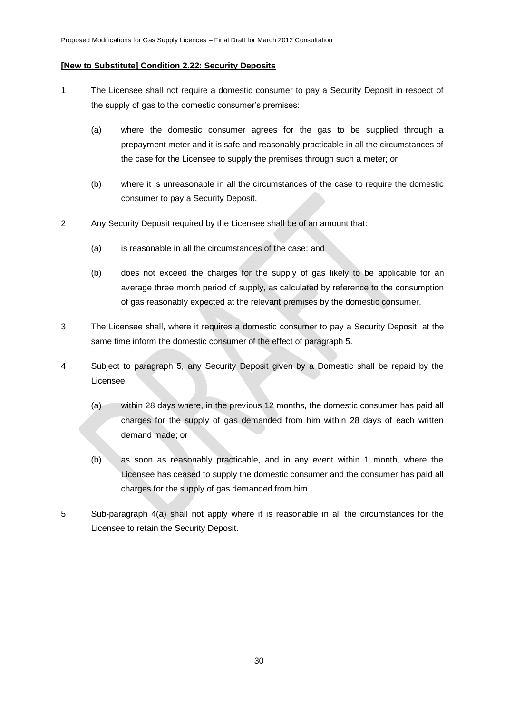#### **[New to Substitute] Condition 2.22: Security Deposits**

- 1 The Licensee shall not require a domestic consumer to pay a Security Deposit in respect of the supply of gas to the domestic consumer's premises:
	- (a) where the domestic consumer agrees for the gas to be supplied through a prepayment meter and it is safe and reasonably practicable in all the circumstances of the case for the Licensee to supply the premises through such a meter; or
	- (b) where it is unreasonable in all the circumstances of the case to require the domestic consumer to pay a Security Deposit.
- 2 Any Security Deposit required by the Licensee shall be of an amount that:
	- (a) is reasonable in all the circumstances of the case; and
	- (b) does not exceed the charges for the supply of gas likely to be applicable for an average three month period of supply, as calculated by reference to the consumption of gas reasonably expected at the relevant premises by the domestic consumer.
- 3 The Licensee shall, where it requires a domestic consumer to pay a Security Deposit, at the same time inform the domestic consumer of the effect of paragraph 5.
- 4 Subject to paragraph 5, any Security Deposit given by a Domestic shall be repaid by the Licensee:
	- (a) within 28 days where, in the previous 12 months, the domestic consumer has paid all charges for the supply of gas demanded from him within 28 days of each written demand made; or
	- (b) as soon as reasonably practicable, and in any event within 1 month, where the Licensee has ceased to supply the domestic consumer and the consumer has paid all charges for the supply of gas demanded from him.
- 5 Sub-paragraph 4(a) shall not apply where it is reasonable in all the circumstances for the Licensee to retain the Security Deposit.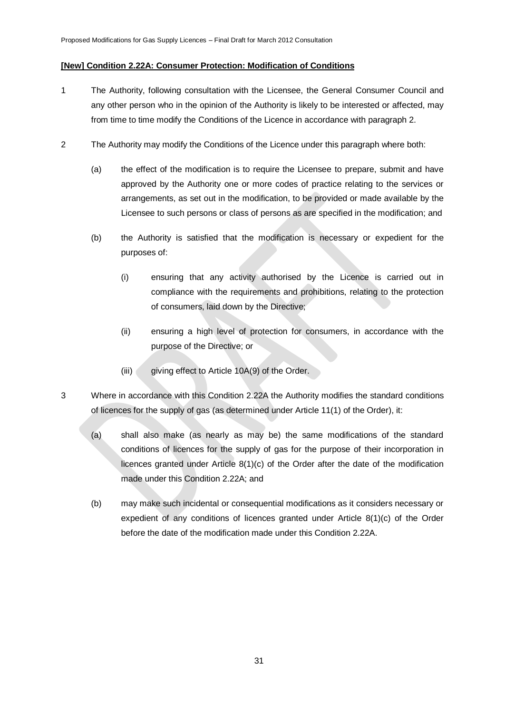### **[New] Condition 2.22A: Consumer Protection: Modification of Conditions**

- 1 The Authority, following consultation with the Licensee, the General Consumer Council and any other person who in the opinion of the Authority is likely to be interested or affected, may from time to time modify the Conditions of the Licence in accordance with paragraph 2.
- 2 The Authority may modify the Conditions of the Licence under this paragraph where both:
	- (a) the effect of the modification is to require the Licensee to prepare, submit and have approved by the Authority one or more codes of practice relating to the services or arrangements, as set out in the modification, to be provided or made available by the Licensee to such persons or class of persons as are specified in the modification; and
	- (b) the Authority is satisfied that the modification is necessary or expedient for the purposes of:
		- (i) ensuring that any activity authorised by the Licence is carried out in compliance with the requirements and prohibitions, relating to the protection of consumers, laid down by the Directive;
		- (ii) ensuring a high level of protection for consumers, in accordance with the purpose of the Directive; or
		- (iii) giving effect to Article 10A(9) of the Order.
- 3 Where in accordance with this Condition 2.22A the Authority modifies the standard conditions of licences for the supply of gas (as determined under Article 11(1) of the Order), it:
	- (a) shall also make (as nearly as may be) the same modifications of the standard conditions of licences for the supply of gas for the purpose of their incorporation in licences granted under Article 8(1)(c) of the Order after the date of the modification made under this Condition 2.22A; and
	- (b) may make such incidental or consequential modifications as it considers necessary or expedient of any conditions of licences granted under Article 8(1)(c) of the Order before the date of the modification made under this Condition 2.22A.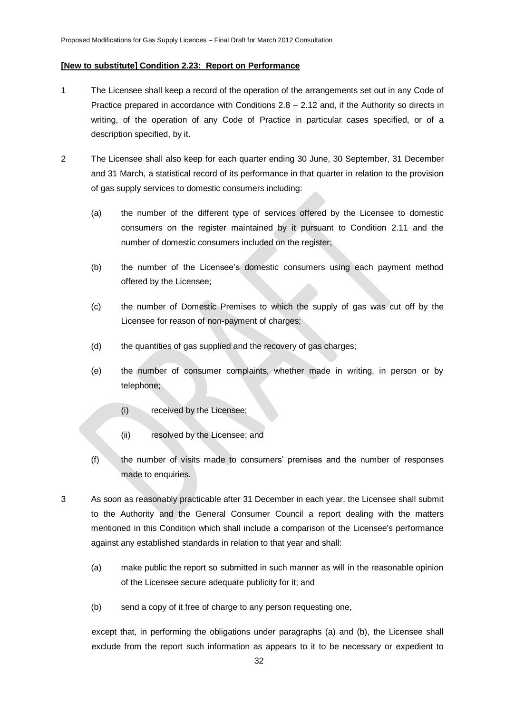#### **[New to substitute] Condition 2.23: Report on Performance**

- 1 The Licensee shall keep a record of the operation of the arrangements set out in any Code of Practice prepared in accordance with Conditions 2.8 – 2.12 and, if the Authority so directs in writing, of the operation of any Code of Practice in particular cases specified, or of a description specified, by it.
- 2 The Licensee shall also keep for each quarter ending 30 June, 30 September, 31 December and 31 March, a statistical record of its performance in that quarter in relation to the provision of gas supply services to domestic consumers including:
	- (a) the number of the different type of services offered by the Licensee to domestic consumers on the register maintained by it pursuant to Condition 2.11 and the number of domestic consumers included on the register;
	- (b) the number of the Licensee"s domestic consumers using each payment method offered by the Licensee;
	- (c) the number of Domestic Premises to which the supply of gas was cut off by the Licensee for reason of non-payment of charges;
	- (d) the quantities of gas supplied and the recovery of gas charges;
	- (e) the number of consumer complaints, whether made in writing, in person or by telephone;
		- (i) received by the Licensee;
		- (ii) resolved by the Licensee; and
	- (f) the number of visits made to consumers" premises and the number of responses made to enquiries.
- 3 As soon as reasonably practicable after 31 December in each year, the Licensee shall submit to the Authority and the General Consumer Council a report dealing with the matters mentioned in this Condition which shall include a comparison of the Licensee's performance against any established standards in relation to that year and shall:
	- (a) make public the report so submitted in such manner as will in the reasonable opinion of the Licensee secure adequate publicity for it; and
	- (b) send a copy of it free of charge to any person requesting one,

except that, in performing the obligations under paragraphs (a) and (b), the Licensee shall exclude from the report such information as appears to it to be necessary or expedient to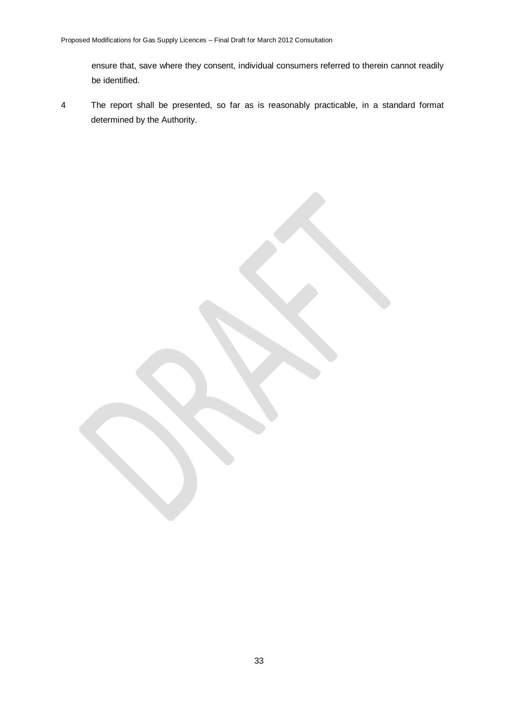ensure that, save where they consent, individual consumers referred to therein cannot readily be identified.

4 The report shall be presented, so far as is reasonably practicable, in a standard format determined by the Authority.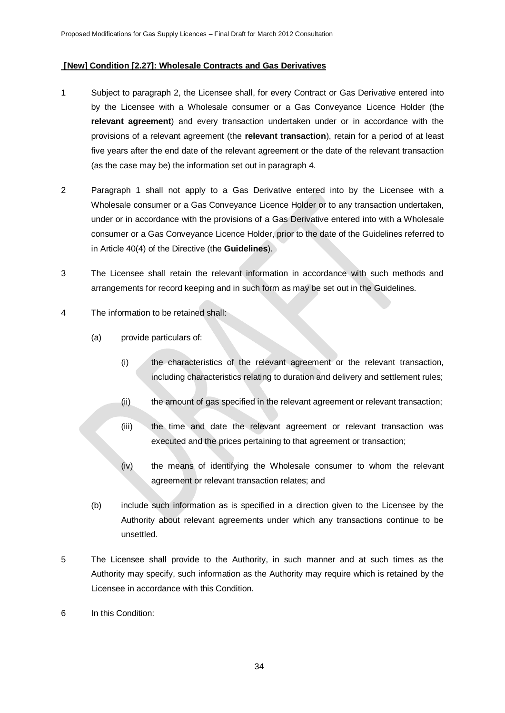### **[New] Condition [2.27]: Wholesale Contracts and Gas Derivatives**

- 1 Subject to paragraph 2, the Licensee shall, for every Contract or Gas Derivative entered into by the Licensee with a Wholesale consumer or a Gas Conveyance Licence Holder (the **relevant agreement**) and every transaction undertaken under or in accordance with the provisions of a relevant agreement (the **relevant transaction**), retain for a period of at least five years after the end date of the relevant agreement or the date of the relevant transaction (as the case may be) the information set out in paragraph 4.
- 2 Paragraph 1 shall not apply to a Gas Derivative entered into by the Licensee with a Wholesale consumer or a Gas Conveyance Licence Holder or to any transaction undertaken, under or in accordance with the provisions of a Gas Derivative entered into with a Wholesale consumer or a Gas Conveyance Licence Holder, prior to the date of the Guidelines referred to in Article 40(4) of the Directive (the **Guidelines**).
- 3 The Licensee shall retain the relevant information in accordance with such methods and arrangements for record keeping and in such form as may be set out in the Guidelines.
- 4 The information to be retained shall:
	- (a) provide particulars of:
		- (i) the characteristics of the relevant agreement or the relevant transaction, including characteristics relating to duration and delivery and settlement rules;
		- (ii) the amount of gas specified in the relevant agreement or relevant transaction;
		- (iii) the time and date the relevant agreement or relevant transaction was executed and the prices pertaining to that agreement or transaction;
		- (iv) the means of identifying the Wholesale consumer to whom the relevant agreement or relevant transaction relates; and
	- (b) include such information as is specified in a direction given to the Licensee by the Authority about relevant agreements under which any transactions continue to be unsettled.
- 5 The Licensee shall provide to the Authority, in such manner and at such times as the Authority may specify, such information as the Authority may require which is retained by the Licensee in accordance with this Condition.
- 6 In this Condition: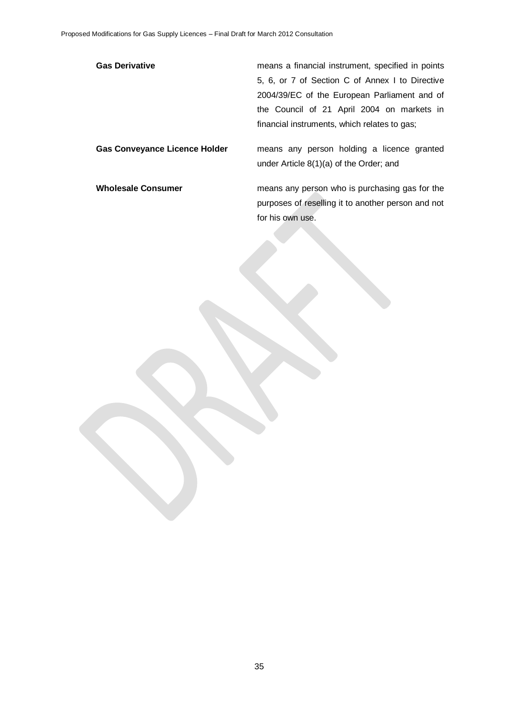Gas Derivative **Gas Derivative** means a financial instrument, specified in points 5, 6, or 7 of Section C of Annex I to Directive 2004/39/EC of the European Parliament and of the Council of 21 April 2004 on markets in financial instruments, which relates to gas;

**Gas Conveyance Licence Holder** means any person holding a licence granted under Article 8(1)(a) of the Order; and

**Wholesale Consumer** means any person who is purchasing gas for the purposes of reselling it to another person and not for his own use.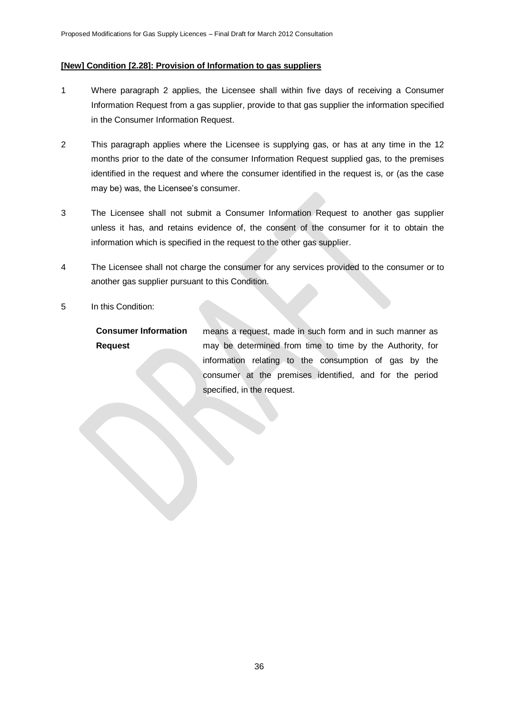#### **[New] Condition [2.28]: Provision of Information to gas suppliers**

- 1 Where paragraph 2 applies, the Licensee shall within five days of receiving a Consumer Information Request from a gas supplier, provide to that gas supplier the information specified in the Consumer Information Request.
- 2 This paragraph applies where the Licensee is supplying gas, or has at any time in the 12 months prior to the date of the consumer Information Request supplied gas, to the premises identified in the request and where the consumer identified in the request is, or (as the case may be) was, the Licensee's consumer.
- 3 The Licensee shall not submit a Consumer Information Request to another gas supplier unless it has, and retains evidence of, the consent of the consumer for it to obtain the information which is specified in the request to the other gas supplier.
- 4 The Licensee shall not charge the consumer for any services provided to the consumer or to another gas supplier pursuant to this Condition.
- 5 In this Condition:

**Consumer Information Request**  means a request, made in such form and in such manner as may be determined from time to time by the Authority, for information relating to the consumption of gas by the consumer at the premises identified, and for the period specified, in the request.